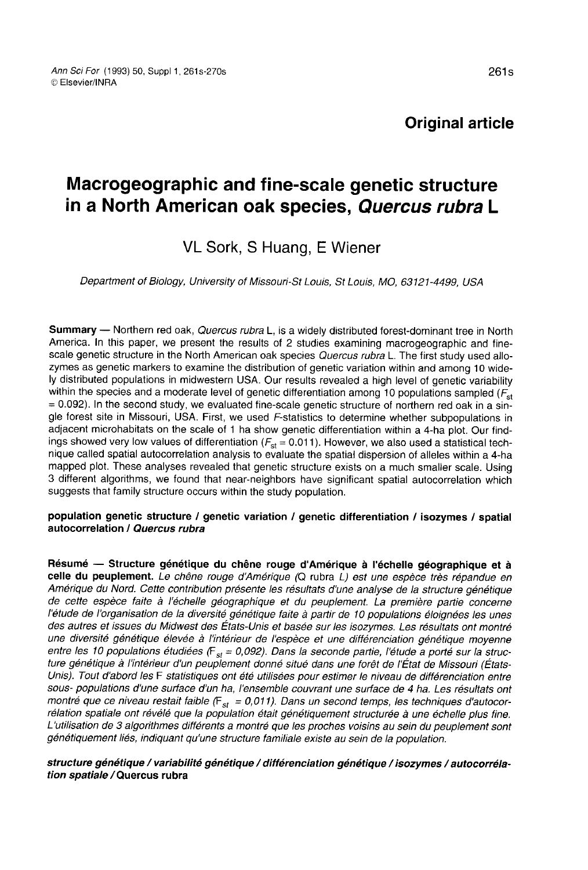# Original article

# Macrogeographic and fine-scale genetic structure in a North American oak species, Quercus rubra L

# VL Sork, S Huang, E Wiener

Department of Biology, University of Missouri-St Louis, St Louis, MO, 63121-4499, USA

Summary — Northern red oak, *Quercus rubra* L, is a widely distributed forest-dominant tree in North America. In this paper, we present the results of 2 studies examining macrogeographic and finescale genetic structure in the North American oak species Quercus rubra L. The first study used allozymes as genetic markers to examine the distribution of genetic variation within and among 10 widely distributed populations in midwestern USA. Our results revealed a high level of genetic variability within the species and a moderate level of genetic differentiation among 10 populations sampled  $\langle F_{st} \rangle$ = 0.092). In the second study, we evaluated fine-scale genetic structure of northern red oak in a single forest site in Missouri, USA. First, we used F-statistics to determine whether subpopulations in adjacent microhabitats on the scale of 1 ha show genetic differentiation within a 4-ha plot. Our findings showed very low values of differentiation ( $F_{st}$  = 0.011). However, we also used a statistical technique called spatial autocorrelation analysis to evaluate the spatial dispersion of alleles within a 4-ha 3 different algorithms, we found that near-neighbors have significant spatial autocorrelation which suggests that family structure occurs within the study population.

#### population genetic structure / genetic variation / genetic differentiation / isozymes / spatial autocorrelation / Quercus rubra

Résumé — Structure génétique du chêne rouge d'Amérique à l'échelle géographique et à celle du peuplement. Le chêne rouge d'Amérique (Q rubra L) est une espèce très répandue en Amérique du Nord. Cette contribution présente les résultats d'une analyse de la structure génétique de cette espèce faite à l'échelle géographique et du peuplement. La première partie concerne l'étude de l'organisation de la diversité génétique faite à partir de 10 populations éloignées les unes des autres et issues du Midwest des États-Unis et basée sur les isozymes. Les résultats ont montré une diversité génétique élevée à l'intérieur de l'espèce et une différenciation génétique moyenne entre les 10 populations étudiées ( $F_{st}$  = 0,092). Dans la seconde partie, l'étude a porté sur la structure génétique à l'intérieur d'un peuplement donné situé dans une forêt de l'État de Missouri (États-Unis). Tout d'abord les F statistiques ont été utilisées pour estimer le niveau de différenciation entre sous- populations d'une surface d'un ha, l'ensemble couvrant une surface de 4 ha. Les résultats ont montré que ce niveau restait faible ( $F_{st} = 0.011$ ). Dans un second temps, les techniques d'autocorrélation spatiale ont révélé que la population était génétiquement structurée à une échelle plus fine. L'utilisation de 3 algorithmes différents a montré que les proches voisins au sein du peuplement sont génétiquement liés, indiquant qu'une structure familiale existe au sein de la population.

#### structure génétique / variabilité génétique / différenciation génétique / isozymes / autocorrélation spatiale / Quercus rubra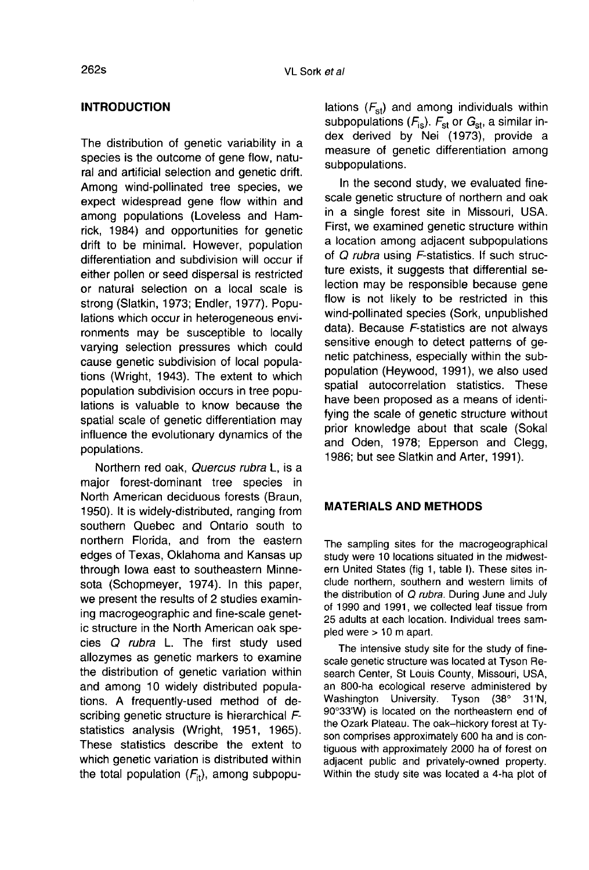# INTRODUCTION

The distribution of genetic variability in a species is the outcome of gene flow, natural and artificial selection and genetic drift. Among wind-pollinated tree species, we expect widespread gene flow within and among populations (Loveless and Hamrick, 1984) and opportunities for genetic drift to be minimal. However, population differentiation and subdivision will occur if either pollen or seed dispersal is restricted or natural selection on a local scale is strong (Slatkin, 1973; Endler, 1977). Populations which occur in heterogeneous environments may be susceptible to locally varying selection pressures which could cause genetic subdivision of local populations (Wright, 1943). The extent to which population subdivision occurs in tree populations is valuable to know because the spatial scale of genetic differentiation may influence the evolutionary dynamics of the populations.

Northern red oak, Quercus rubra L, is a major forest-dominant tree species in North American deciduous forests (Braun, 1950). It is widely-distributed, ranging from southern Quebec and Ontario south to northern Florida, and from the eastern edges of Texas, Oklahoma and Kansas up through Iowa east to southeastern Minnesota (Schopmeyer, 1974). In this paper, we present the results of 2 studies examining macrogeographic and fine-scale genetic structure in the North American oak species Q rubra L. The first study used allozymes as genetic markers to examine the distribution of genetic variation within and among 10 widely distributed populations. A frequently-used method of describing genetic structure is hierarchical Fstatistics analysis (Wright, 1951, 1965). These statistics describe the extent to which genetic variation is distributed within the total population  $(F_{it})$ , among subpopulations  $(F_{st})$  and among individuals within subpopulations  $(F_{\text{is}})$ .  $F_{\text{st}}$  or  $G_{\text{st}}$ , a similar index derived by Nei (1973), provide a measure of genetic differentiation among subpopulations.

In the second study, we evaluated finescale genetic structure of northern and oak in a single forest site in Missouri, USA. First, we examined genetic structure within a location among adjacent subpopulations of Q rubra using F-statistics. If such structure exists, it suggests that differential selection may be responsible because gene flow is not likely to be restricted in this wind-pollinated species (Sork, unpublished data). Because F-statistics are not always sensitive enough to detect patterns of genetic patchiness, especially within the subpopulation (Heywood, 1991), we also used spatial autocorrelation statistics. These have been proposed as a means of identifying the scale of genetic structure without prior knowledge about that scale (Sokal and Oden, 1978; Epperson and Clegg, 1986; but see Slatkin and Arter, 1991).

# MATERIALS AND METHODS

The sampling sites for the macrogeographical study were 10 locations situated in the midwestern United States (fig 1, table I). These sites include northern, southern and western limits of the distribution of Q rubra. During June and July of 1990 and 1991, we collected leaf tissue from 25 adults at each location. Individual trees sampled were > 10 m apart.

The intensive study site for the study of finescale genetic structure was located at Tyson Research Center, St Louis County, Missouri, USA, an 800-ha ecological reserve administered by<br>Washington University. Tyson (38° 31'N, Washington University. 90°33'W) is located on the northeastern end of the Ozark Plateau. The oak-hickory forest at Ty son comprises approximately 600 ha and is contiguous with approximately 2000 ha of forest on adjacent public and privately-owned property. Within the study site was located a 4-ha plot of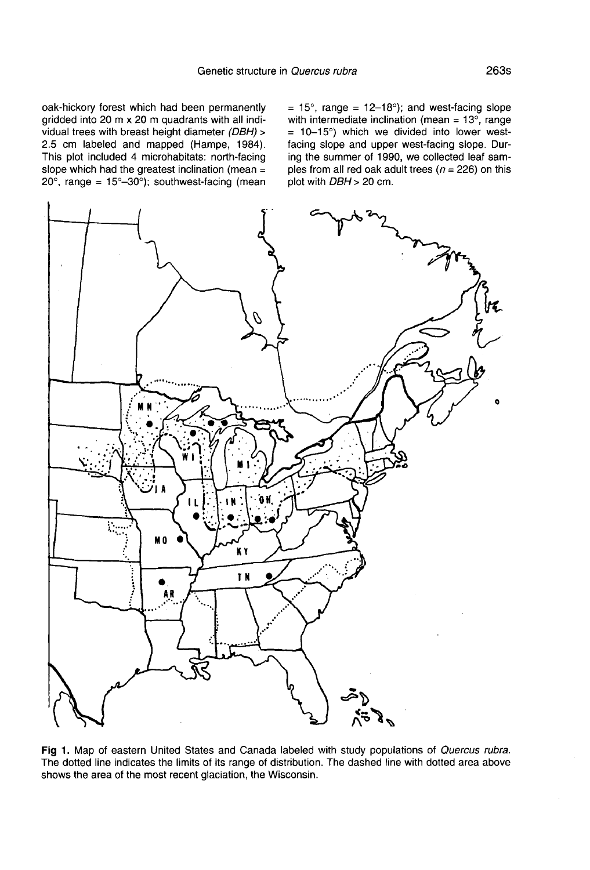oak-hickory forest which had been permanently gridded into 20 m x 20 m quadrants with all individual trees with breast height diameter (DBH) > 2.5 cm labeled and mapped (Hampe, 1984). This plot included 4 microhabitats: north-facing slope which had the greatest inclination (mean =  $20^{\circ}$ , range =  $15^{\circ}-30^{\circ}$ ); southwest-facing (mean =  $15^\circ$ , range =  $12-18^\circ$ ); and west-facing slope with intermediate inclination (mean =  $13^\circ$ , range  $= 10-15°$ ) which we divided into lower westfacing slope and upper west-facing slope. During the summer of 1990, we collected leaf samples from all red oak adult trees ( $n = 226$ ) on this plot with DBH > 20 cm.



Fig 1. Map of eastern United States and Canada labeled with study populations of Quercus rubra. The dotted line indicates the limits of its range of distribution. The dashed line with dotted area above shows the area of the most recent glaciation, the Wisconsin.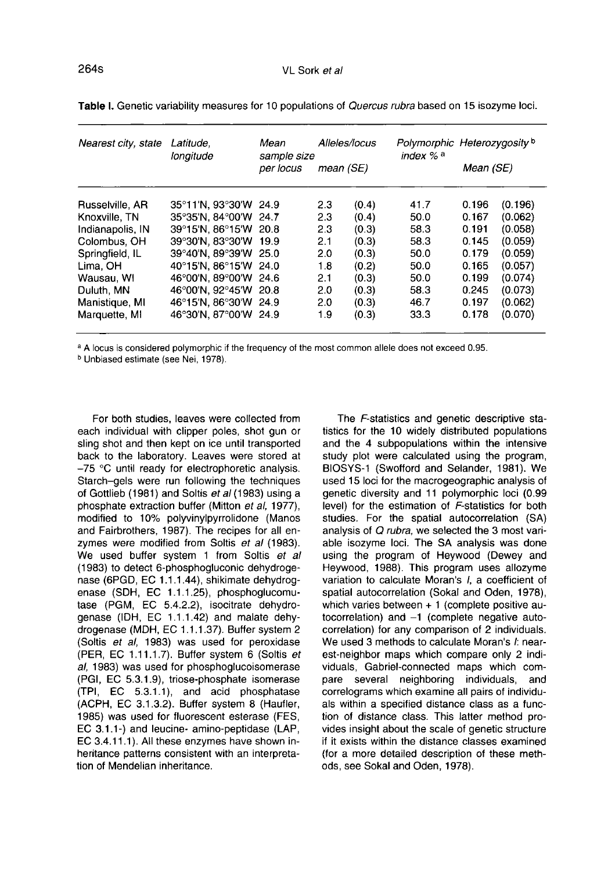| Nearest city, state | Latitude.<br>longitude | Mean<br>sample size<br>per locus | Alleles/locus<br>mean (SE) |       | index % a | Polymorphic Heterozygosity b<br>Mean (SE) |         |
|---------------------|------------------------|----------------------------------|----------------------------|-------|-----------|-------------------------------------------|---------|
| Russelville, AR     | 35°11'N, 93°30'W 24.9  |                                  | 2.3                        | (0.4) | 41.7      | 0.196                                     | (0.196) |
| Knoxville, TN       | 35°35′N.84°00′W 24.7   |                                  | 2.3                        | (0.4) | 50.0      | 0.167                                     | (0.062) |
| Indianapolis, IN    | 39°15'N, 86°15'W 20.8  |                                  | 2.3                        | (0.3) | 58.3      | 0.191                                     | (0.058) |
| Colombus, OH        | 39°30'N. 83°30'W       | 19.9                             | 2.1                        | (0.3) | 58.3      | 0.145                                     | (0.059) |
| Springfield, IL     | 39°40′N, 89°39′W 25.0  |                                  | 2.0                        | (0.3) | 50.0      | 0.179                                     | (0.059) |
| Lima, OH            | 40°15'N, 86°15'W 24.0  |                                  | 1.8                        | (0.2) | 50.0      | 0.165                                     | (0.057) |
| Wausau, WI          | 46°00′N.89°00′W 24.6   |                                  | 2.1                        | (0.3) | 50.0      | 0.199                                     | (0.074) |
| Duluth, MN          | 46°00′N, 92°45′W 20.8  |                                  | 2.0                        | (0.3) | 58.3      | 0.245                                     | (0.073) |
| Manistique, MI      | 46°15'N, 86°30'W 24.9  |                                  | 2.0                        | (0.3) | 46.7      | 0.197                                     | (0.062) |
| Marquette, MI       | 46°30'N, 87°00'W 24.9  |                                  | 1.9                        | (0.3) | 33.3      | 0.178                                     | (0.070) |

Table I. Genetic variability measures for 10 populations of Quercus rubra based on 15 isozyme loci.

<sup>a</sup> A locus is considered polymorphic if the frequency of the most common allele does not exceed 0.95.

<sup>b</sup> Unbiased estimate (see Nei, 1978).

For both studies, leaves were collected from each individual with clipper poles, shot gun or sling shot and then kept on ice until transported back to the laboratory. Leaves were stored at -75 °C until ready for electrophoretic analysis. Starch-gels were run following the techniques of Gottlieb (1981) and Soltis et al (1983) using a phosphate extraction buffer (Mitton et al, 1977), modified to 10% polyvinylpyrrolidone (Manos and Fairbrothers, 1987). The recipes for all en-<br>zymes were modified from Soltis et al (1983). We used buffer system 1 from Soltis et al (1983) to detect 6-phosphogluconic dehydrogenase (6PGD, EC 1.1.1.44), shikimate dehydrog-<br>enase (SDH, EC 1.1.1.25), phosphoglucomu-<br>tase (PGM, EC 5.4.2.2), isocitrate dehydrogenase (IDH, EC 1.1.1.42) and malate dehydrogenase (MDH, EC 1.1.1.37). Buffer system 2 (Soltis et al, 1983) was used for peroxidase (PER, EC 1.11.1.7). Buffer system 6 (Soltis et al, 1983) was used for phosphoglucoisomerase (PGI, EC 5.3.1.9), triose-phosphate isomerase (TPI, EC 5.3.1.1), and acid phosphatase (ACPH, EC 3.1.3.2). Buffer system 8 (Haufler, 1985) was used for fluorescent esterase (FES, EC 3.1.1-) and leucine- amino-peptidase (LAP, EC 3.4.11.1). All these enzymes have shown inheritance patterns consistent with an interpretation of Mendelian inheritance.

The F-statistics and genetic descriptive statistics for the 10 widely distributed populations and the 4 subpopulations within the intensive study plot were calculated using the program, BIOSYS-1 (Swofford and Selander, 1981). We used 15 loci for the macrogeographic analysis of genetic diversity and 11 polymorphic loci (0.99 level) for the estimation of F-statistics for both studies. For the spatial autocorrelation (SA) analysis of Q rubra, we selected the 3 most variable isozyme loci. The SA analysis was done using the program of Heywood (Dewey and Heywood, 1988). This program uses allozyme variation to calculate Moran's I, a coefficient of spatial autocorrelation (Sokal and Oden, 1978), which varies between + 1 (complete positive autocorrelation) and -1 (complete negative autocorrelation) for any comparison of 2 individuals. We used 3 methods to calculate Moran's *I*: nearest-neighbor maps which compare only 2 individuals, Gabriel-connected maps which comseveral neighboring individuals, and correlograms which examine all pairs of individuals within a specified distance class as a function of distance class. This latter method provides insight about the scale of genetic structure if it exists within the distance classes examined (for a more detailed description of these methods, see Sokal and Oden, 1978).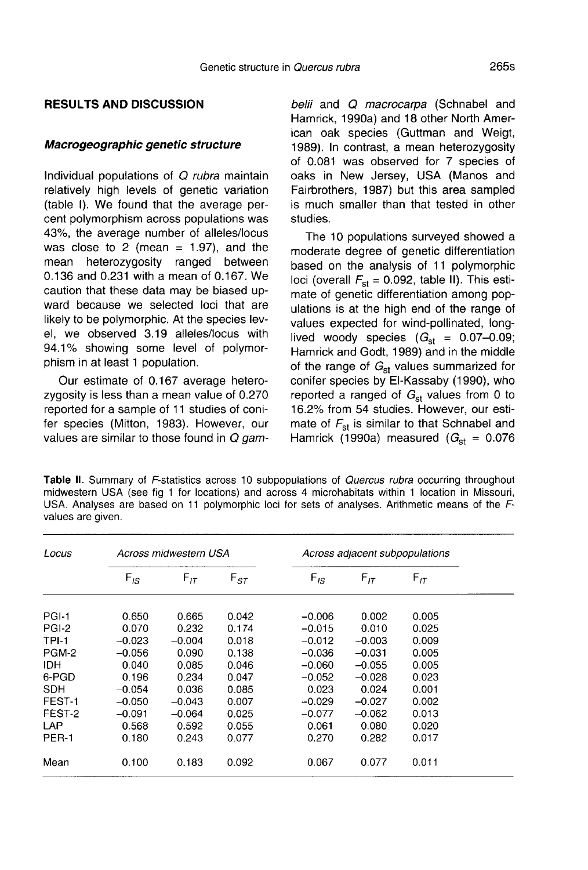## RESULTS AND DISCUSSION

#### Macrogeographic genetic structure

Individual populations of Q rubra maintain relatively high levels of genetic variation (table I). We found that the average percent polymorphism across populations was 43%, the average number of alleles/locus was close to 2 (mean  $= 1.97$ ), and the mean beterozygosity ranged between heterozygosity ranged between 0.136 and 0.231 with a mean of 0.167. We caution that these data may be biased upward because we selected loci that are likely to be polymorphic. At the species level, we observed 3.19 alleles/locus with 94.1% showing some level of polymorphism in at least 1 population.

Our estimate of 0.167 average heterozygosity is less than a mean value of 0.270 reported for a sample of 11 studies of conifer species (Mitton, 1983). However, our values are similar to those found in  $Q$  gambelii and Q macrocarpa (Schnabel and Hamrick, 1990a) and 18 other North American oak species (Guttman and Weigt, 1989). In contrast, a mean heterozygosity of 0.081 was observed for 7 species of oaks in New Jersey, USA (Manos and Fairbrothers, 1987) but this area sampled is much smaller than that tested in other studies.

The 10 populations surveyed showed a moderate degree of genetic differentiation based on the analysis of 11 polymorphic loci (overall  $F_{st} = 0.092$ , table II). This estimate of genetic differentiation among populations is at the high end of the range of values expected for wind-pollinated, longlived woody species  $(G_{st} = 0.07{\text -}0.09;$ Hamrick and Godt, 1989) and in the middle of the range of  $G_{st}$  values summarized for conifer species by El-Kassaby (1990), who reported a ranged of  $G<sub>st</sub>$  values from 0 to 16.2% from 54 studies. However, our estimate of  $F_{st}$  is similar to that Schnabel and Hamrick (1990a) measured ( $G_{st} = 0.076$ 

Table II. Summary of F-statistics across 10 subpopulations of Quercus rubra occurring throughout midwestern USA (see fig 1 for locations) and across 4 microhabitats within 1 location in Missouri, USA. Analyses are based on 11 polymorphic loci for sets of analyses. Arithmetic means of the Fvalues are given.

| Locus        | Across midwestern USA |          |          | Across adjacent subpopulations |          |          |  |
|--------------|-----------------------|----------|----------|--------------------------------|----------|----------|--|
|              | $F_{IS}$              | $F_{IT}$ | $F_{ST}$ | $F_{IS}$                       | $F_{IT}$ | $F_{IT}$ |  |
| PGI-1        | 0.650                 | 0.665    | 0.042    | $-0.006$                       | 0.002    | 0.005    |  |
| PGI-2        | 0.070                 | 0.232    | 0.174    | $-0.015$                       | 0.010    | 0.025    |  |
| <b>TPI-1</b> | $-0.023$              | $-0.004$ | 0.018    | $-0.012$                       | $-0.003$ | 0.009    |  |
| PGM-2        | $-0.056$              | 0.090    | 0.138    | $-0.036$                       | $-0.031$ | 0.005    |  |
| <b>IDH</b>   | 0.040                 | 0.085    | 0.046    | $-0.060$                       | $-0.055$ | 0.005    |  |
| 6-PGD        | 0.196                 | 0.234    | 0.047    | $-0.052$                       | $-0.028$ | 0.023    |  |
| <b>SDH</b>   | $-0.054$              | 0.036    | 0.085    | 0.023                          | 0.024    | 0.001    |  |
| FEST-1       | $-0.050$              | $-0.043$ | 0.007    | $-0.029$                       | $-0.027$ | 0.002    |  |
| FEST-2       | $-0.091$              | $-0.064$ | 0.025    | $-0.077$                       | $-0.062$ | 0.013    |  |
| LAP          | 0.568                 | 0.592    | 0.055    | 0.061                          | 0.080    | 0.020    |  |
| PER-1        | 0.180                 | 0.243    | 0.077    | 0.270                          | 0.282    | 0.017    |  |
| Mean         | 0.100                 | 0.183    | 0.092    | 0.067                          | 0.077    | 0.011    |  |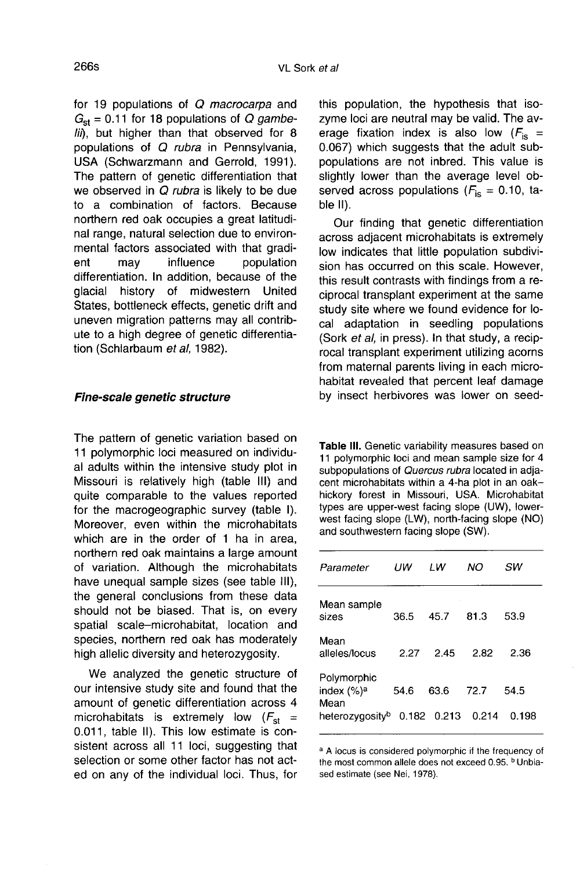for 19 populations of Q macrocarpa and  $G<sub>st</sub> = 0.11$  for 18 populations of Q gambelii), but higher than that observed for 8 populations of Q rubra in Pennsylvania, USA (Schwarzmann and Gerrold, 1991). The pattern of genetic differentiation that we observed in Q rubra is likely to be due to a combination of factors. Because northern red oak occupies a great latitudinal range, natural selection due to environmental factors associated with that gradipopulation differentiation. In addition, because of the glacial history of midwestern United States, bottleneck effects, genetic drift and uneven migration patterns may all contribute to a high degree of genetic differentiation (Schlarbaum et al, 1982).

### Fine-scale genetic structure

The pattern of genetic variation based on 11 polymorphic loci measured on individual adults within the intensive study plot in Missouri is relatively high (table III) and quite comparable to the values reported for the macrogeographic survey (table I). Moreover, even within the microhabitats which are in the order of 1 ha in area, northern red oak maintains a large amount of variation. Although the microhabitats have unequal sample sizes (see table III), the general conclusions from these data should not be biased. That is, on every spatial scale-microhabitat, location and species, northern red oak has moderately high allelic diversity and heterozygosity.

We analyzed the genetic structure of our intensive study site and found that the amount of genetic differentiation across 4 microhabitats is extremely low  $(F_{st}$  = 0.011, table II). This low estimate is consistent across all 11 loci, suggesting that selection or some other factor has not acted on any of the individual loci. Thus, for this population, the hypothesis that isozyme loci are neutral may be valid. The average fixation index is also low  $(F_{\text{is}} =$ 0.067) which suggests that the adult subpopulations are not inbred. This value is slightly lower than the average level observed across populations ( $F_{\text{is}} = 0.10$ , table II).

Our finding that genetic differentiation across adjacent microhabitats is extremely low indicates that little population subdivision has occurred on this scale. However, this result contrasts with findings from a reciprocal transplant experiment at the same study site where we found evidence for local adaptation in seedling populations (Sork et al, in press). In that study, a reciprocal transplant experiment utilizing acorns from maternal parents living in each microhabitat revealed that percent leaf damage by insect herbivores was lower on seed-

Table III. Genetic variability measures based on 11 polymorphic loci and mean sample size for 4 subpopulations of Quercus rubra located in adiacent microhabitats within a 4-ha plot in an oakhickory forest in Missouri, USA. Microhabitat types are upper-west facing slope (UW), lowerwest facing slope (LW), north-facing slope (NO) and southwestern facing slope (SW).

| Parameter                                     | ПW   | ı w           | NΟ    | sw    |
|-----------------------------------------------|------|---------------|-------|-------|
| Mean sample<br>sizes                          | 36.5 | 45.7          | 81.3  | 53.9  |
| Mean<br>alleles/locus                         | 2.27 | 2.45          | 2.82  | 2.36  |
| Polymorphic<br>index (%) <sup>a</sup><br>Mean | 54.6 | 63.6          | 72.7  | 54.5  |
| heterozygosity <sup>b</sup>                   |      | $0.182$ 0.213 | 0.214 | 0.198 |

<sup>a</sup> A locus is considered polymorphic if the frequency of the most common allele does not exceed 0.95. <sup>b</sup> Unbiased estimate (see Nei, 1978).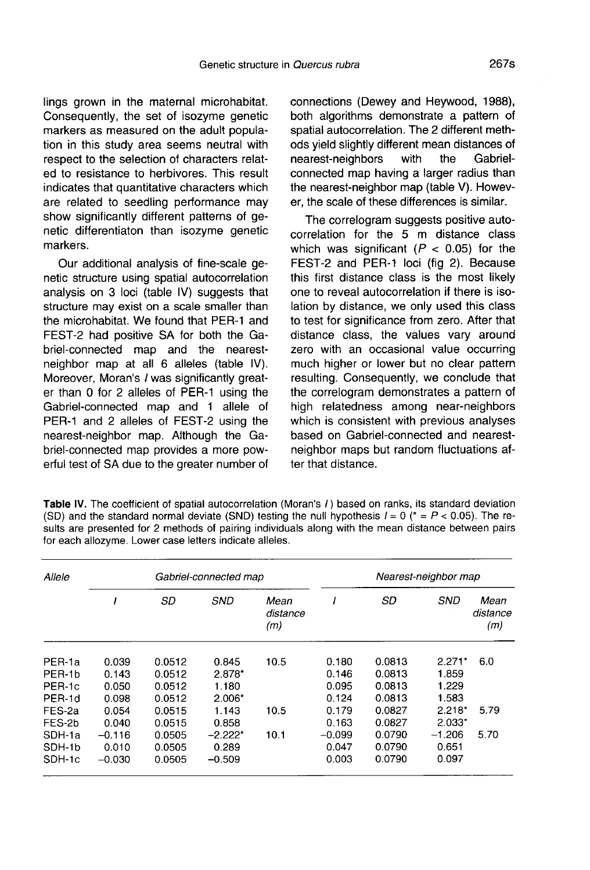lings grown in the maternal microhabitat. Consequently, the set of isozyme genetic markers as measured on the adult population in this study area seems neutral with respect to the selection of characters related to resistance to herbivores. This result indicates that quantitative characters which are related to seedling performance may show significantly different patterns of genetic differentiaton than isozyme genetic markers.

Our additional analysis of fine-scale genetic structure using spatial autocorrelation analysis on 3 loci (table IV) suggests that structure may exist on a scale smaller than the microhabitat. We found that PER-1 and FEST-2 had positive SA for both the Gabriel-connected map and the nearestneighbor map at all 6 alleles (table IV). Moreover, Moran's *I* was significantly greater than 0 for 2 alleles of PER-1 using the Gabriel-connected map and 1 allele of PER-1 and 2 alleles of FEST-2 using the nearest-neighbor map. Although the Gabriel-connected map provides a more powerful test of SA due to the greater number of connections (Dewey and Heywood, 1988), both algorithms demonstrate a pattern of spatial autocorrelation. The 2 different methods yield slightly different mean distances of<br>nearest-neighbors with the Gabrielnearest-neighbors connected map having a larger radius than the nearest-neighbor map (table V). However, the scale of these differences is similar.

The correlogram suggests positive autocorrelation for the 5 m distance class which was significant ( $P < 0.05$ ) for the FEST-2 and PER-1 loci (fig 2). Because this first distance class is the most likely one to reveal autocorrelation if there is isolation by distance, we only used this class to test for significance from zero. After that distance class, the values vary around zero with an occasional value occurring much higher or lower but no clear pattern resulting. Consequently, we conclude that the correlogram demonstrates a pattern of high relatedness among near-neighbors which is consistent with previous analyses based on Gabriel-connected and nearestneighbor maps but random fluctuations after that distance.

| Allele | Gabriel-connected map |        |            |                         | Nearest-neighbor map |        |            |                         |
|--------|-----------------------|--------|------------|-------------------------|----------------------|--------|------------|-------------------------|
|        |                       | SD     | <b>SND</b> | Mean<br>distance<br>(m) |                      | SD     | <b>SND</b> | Mean<br>distance<br>(m) |
| PER-1a | 0.039                 | 0.0512 | 0.845      | 10.5                    | 0.180                | 0.0813 | $2.271*$   | 6.0                     |
| PER-1b | 0.143                 | 0.0512 | $2.878*$   |                         | 0.146                | 0.0813 | 1.859      |                         |
| PER-1c | 0.050                 | 0.0512 | 1.180      |                         | 0.095                | 0.0813 | 1.229      |                         |
| PER-1d | 0.098                 | 0.0512 | $2.006*$   |                         | 0.124                | 0.0813 | 1.583      |                         |
| FES-2a | 0.054                 | 0.0515 | 1.143      | 10.5                    | 0.179                | 0.0827 | $2.218*$   | 5.79                    |
| FES-2b | 0.040                 | 0.0515 | 0.858      |                         | 0.163                | 0.0827 | $2.033*$   |                         |
| SDH-1a | $-0.116$              | 0.0505 | $-2.222*$  | 10.1                    | $-0.099$             | 0.0790 | $-1.206$   | 5.70                    |
| SDH-1b | 0.010                 | 0.0505 | 0.289      |                         | 0.047                | 0.0790 | 0.651      |                         |
| SDH-1c | $-0.030$              | 0.0505 | $-0.509$   |                         | 0.003                | 0.0790 | 0.097      |                         |

Table IV. The coefficient of spatial autocorrelation (Moran's /) based on ranks, its standard deviation (SD) and the standard normal deviate (SND) testing the null hypothesis  $I = 0$  ( $\tau = P < 0.05$ ). The results are presented for 2 methods of pairing individuals along with the mean distance between pairs for each allozyme. Lower case letters indicate alleles.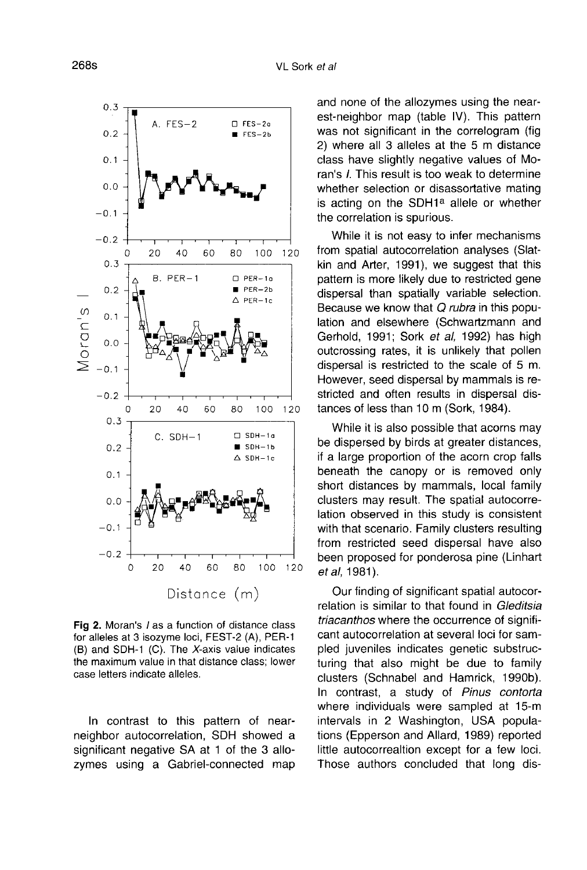

Fig 2. Moran's / as a function of distance class for alleles at 3 isozyme loci, FEST-2 (A), PER-1 (B) and SDH-1 (C). The X-axis value indicates the maximum value in that distance class; lower case letters indicate alleles.

In contrast to this pattern of nearneighbor autocorrelation, SDH showed a significant negative SA at 1 of the 3 allozymes using a Gabriel-connected map and none of the allozymes using the nearest-neighbor map (table IV). This pattern was not significant in the correlogram (fig 2) where all 3 alleles at the 5 m distance class have slightly negative values of Moclass have signity hegative values of Mo-<br>ran's *I*. This result is too weak to determine<br>whether selection or disassortative mating<br>is acting on the SDH1<sup>a</sup> allele or whether<br>the correlation is spurious whether selection or disassortative mating<br>is acting on the SDH1ª allele or whether the correlation is spurious.

While it is not easy to infer mechanisms from spatial autocorrelation analyses (Slatkin and Arter, 1991), we suggest that this pattern is more likely due to restricted gene dispersal than spatially variable selection. Because we know that Q rubra in this population and elsewhere (Schwartzmann and Gerhold, 1991; Sork et al, 1992) has high outcrossing rates, it is unlikely that pollen dispersal is restricted to the scale of 5 m. However, seed dispersal by mammals is restricted and often results in dispersal distances of less than 10 m (Sork, 1984).

While it is also possible that acorns may be dispersed by birds at greater distances, if a large proportion of the acorn crop falls beneath the canopy or is removed only short distances by mammals, local family clusters may result. The spatial autocorrelation observed in this study is consistent with that scenario. Family clusters resulting from restricted seed dispersal have also been proposed for ponderosa pine (Linhart et al, 1981).

Our finding of significant spatial autocorrelation is similar to that found in Gleditsia triacanthos where the occurrence of signifi cant autocorrelation at several loci for sampled juveniles indicates genetic substructuring that also might be due to family clusters (Schnabel and Hamrick, 1990b). In contrast, a study of Pinus contorta where individuals were sampled at 15-m intervals in 2 Washington, USA populations (Epperson and Allard, 1989) reported little autocorrealtion except for a few loci. Those authors concluded that long dis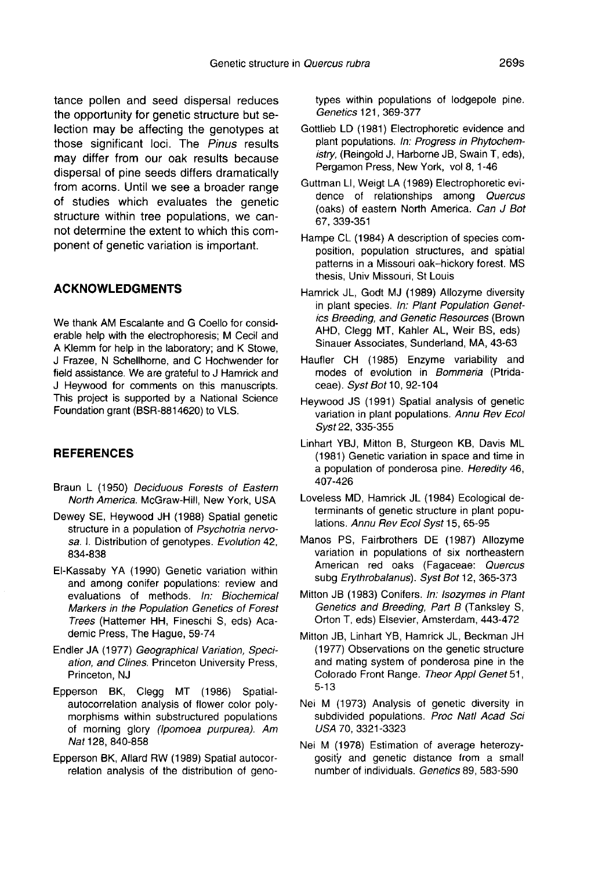tance pollen and seed dispersal reduces the opportunity for genetic structure but selection may be affecting the genotypes at those significant loci. The Pinus results may differ from our oak results because dispersal of pine seeds differs dramatically from acorns. Until we see a broader range of studies which evaluates the genetic structure within tree populations, we cannot determine the extent to which this component of genetic variation is important.

# ACKNOWLEDGMENTS

We thank AM Escalante and G Coello for considerable help with the electrophoresis; M Cecil and A Klemm for help in the laboratory; and K Stowe, J Frazee, N Schellhorne, and C Hochwender for field assistance. We are grateful to J Hamrick and J Heywood for comments on this manuscripts. This project is supported by a National Science Foundation grant (BSR-8814620) to VLS.

#### **REFERENCES**

- Braun L (1950) Deciduous Forests of Eastern North America. McGraw-Hill, New York, USA
- Dewey SE, Heywood JH (1988) Spatial genetic structure in a population of Psychotria nervosa. I. Distribution of genotypes. Evolution 42, 834-838
- El-Kassaby YA (1990) Genetic variation within and among conifer populations: review and evaluations of methods. In: Biochemical Markers in the Population Genetics of Forest Trees (Hattemer HH, Fineschi S, eds) Academic Press, The Hague, 59-74
- Endler JA (1977) Geographical Variation, Speciation, and Clines. Princeton University Press, Princeton, NJ
- Epperson BK, Clegg MT (1986) Spatialautocorrelation analysis of flower color polymorphisms within substructured populations of morning glory (Ipomoea purpurea). Am Nat 128, 840-858
- Epperson BK, Allard RW (1989) Spatial autocorrelation analysis of the distribution of geno-

types within populations of lodgepole pine. Genetics 121, 369-377

- Gottlieb LD (1981) Electrophoretic evidence and plant populations. In: Progress in Phytochemistry, (Reingold J, Harborne JB, Swain T, eds), Pergamon Press, New York, vol 8, 1-46
- Guttman LI, Weigt LA (1989) Electrophoretic evidence of relationships among Quercus (oaks) of eastern North America. Can J Bot 67, 339-351
- Hampe CL (1984) A description of species composition, population structures, and spatial patterns in a Missouri oak-hickory forest. MS thesis, Univ Missouri, St Louis
- Hamrick JL, Godt MJ (1989) Allozyme diversity in plant species. In: Plant Population Genetics Breeding, and Genetic Resources (Brown AHD, Clegg MT, Kahler AL, Weir BS, eds) Sinauer Associates, Sunderland, MA, 43-63
- Haufler CH (1985) Enzyme variability and modes of evolution in Bommeria (Ptridaceae). Syst Bot 10, 92-104
- Heywood JS (1991) Spatial analysis of genetic variation in plant populations. Annu Rev Ecol Syst 22, 335-355
- Linhart YBJ, Mitton B, Sturgeon KB, Davis ML (1981) Genetic variation in space and time in a population of ponderosa pine. Heredity 46, 407-426
- Loveless MD, Hamrick JL (1984) Ecological determinants of genetic structure in plant populations. Annu Rev Ecol Syst 15, 65-95
- Manos PS, Fairbrothers DE (1987) Allozyme variation in populations of six northeastern American red oaks (Fagaceae: Quercus subg Erythrobalanus). Syst Bot 12, 365-373
- Mitton JB (1983) Conifers. In: Isozymes in Plant Genetics and Breeding, Part B (Tanksley S, Orton T, eds) Elsevier, Amsterdam, 443-472
- Mitton JB, Linhart YB, Hamrick JL, Beckman JH (1977) Observations on the genetic structure and mating system of ponderosa pine in the Colorado Front Range. Theor Appl Genet 51, 5-13
- Nei M (1973) Analysis of genetic diversity in subdivided populations. Proc Natl Acad Sci USA 70, 3321-3323
- Nei M (1978) Estimation of average heterozygosity and genetic distance from a small number of individuals. Genetics 89, 583-590